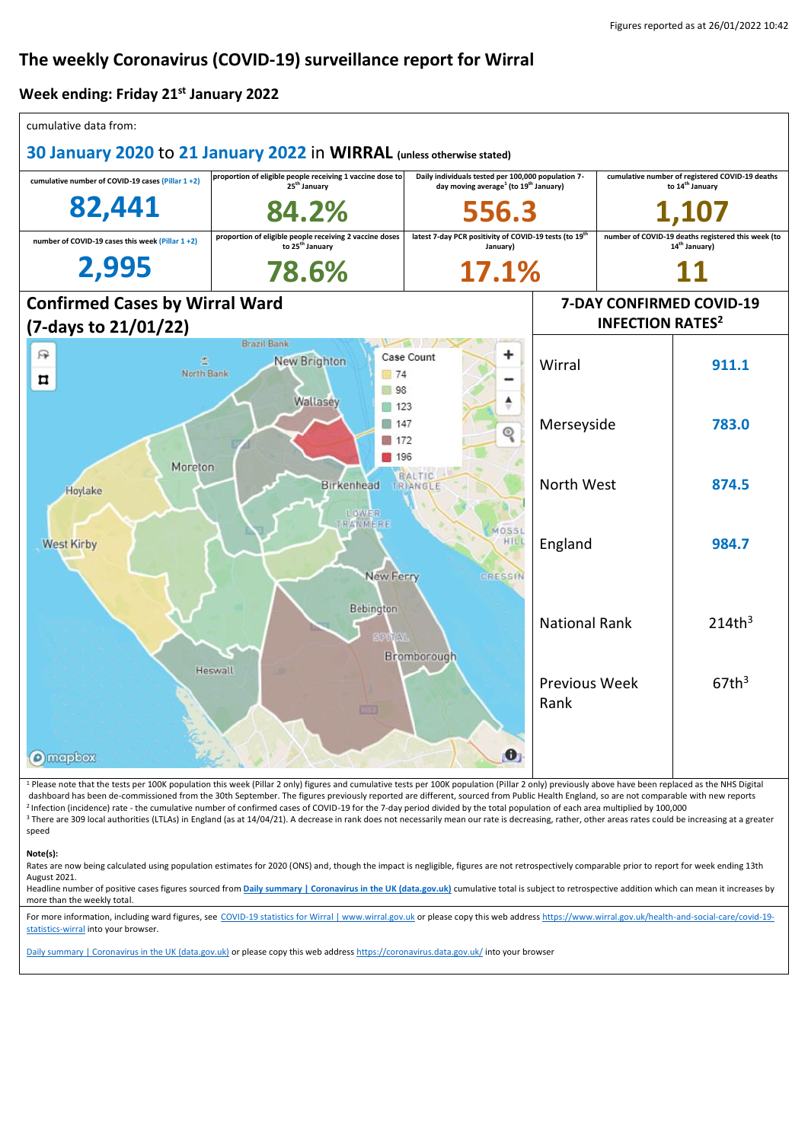# **The weekly Coronavirus (COVID-19) surveillance report for Wirral**

#### **Week ending: Friday 21st January 2022**

| cumulative data from:                                                                                                                                                                                                                                                                                                                                                                                                                                                                                                                                                                                                                                                                                                                                                                                                                      |                                                                                        |                                                                                                                     |                              |                                                                                 |                    |  |
|--------------------------------------------------------------------------------------------------------------------------------------------------------------------------------------------------------------------------------------------------------------------------------------------------------------------------------------------------------------------------------------------------------------------------------------------------------------------------------------------------------------------------------------------------------------------------------------------------------------------------------------------------------------------------------------------------------------------------------------------------------------------------------------------------------------------------------------------|----------------------------------------------------------------------------------------|---------------------------------------------------------------------------------------------------------------------|------------------------------|---------------------------------------------------------------------------------|--------------------|--|
| 30 January 2020 to 21 January 2022 in WIRRAL (unless otherwise stated)                                                                                                                                                                                                                                                                                                                                                                                                                                                                                                                                                                                                                                                                                                                                                                     |                                                                                        |                                                                                                                     |                              |                                                                                 |                    |  |
| cumulative number of COVID-19 cases (Pillar 1+2)                                                                                                                                                                                                                                                                                                                                                                                                                                                                                                                                                                                                                                                                                                                                                                                           | proportion of eligible people receiving 1 vaccine dose to<br>25 <sup>th</sup> January  | Daily individuals tested per 100,000 population 7-<br>day moving average <sup>1</sup> (to 19 <sup>th</sup> January) |                              | cumulative number of registered COVID-19 deaths<br>to 14 <sup>th</sup> January  |                    |  |
| 82,441                                                                                                                                                                                                                                                                                                                                                                                                                                                                                                                                                                                                                                                                                                                                                                                                                                     | 84.2%                                                                                  | 556.3                                                                                                               |                              |                                                                                 |                    |  |
| number of COVID-19 cases this week (Pillar 1+2)                                                                                                                                                                                                                                                                                                                                                                                                                                                                                                                                                                                                                                                                                                                                                                                            | proportion of eligible people receiving 2 vaccine doses<br>to 25 <sup>th</sup> January | latest 7-day PCR positivity of COVID-19 tests (to 19 <sup>th</sup><br>January)                                      |                              | number of COVID-19 deaths registered this week (to<br>14 <sup>th</sup> January) |                    |  |
| 2,995                                                                                                                                                                                                                                                                                                                                                                                                                                                                                                                                                                                                                                                                                                                                                                                                                                      | 78.6%                                                                                  |                                                                                                                     | 17.1%                        |                                                                                 |                    |  |
| <b>Confirmed Cases by Wirral Ward</b>                                                                                                                                                                                                                                                                                                                                                                                                                                                                                                                                                                                                                                                                                                                                                                                                      |                                                                                        |                                                                                                                     | 7-DAY CONFIRMED COVID-19     |                                                                                 |                    |  |
| (7-days to 21/01/22)                                                                                                                                                                                                                                                                                                                                                                                                                                                                                                                                                                                                                                                                                                                                                                                                                       |                                                                                        |                                                                                                                     |                              | <b>INFECTION RATES<sup>2</sup></b>                                              |                    |  |
| 曱<br>North Bank<br>ㅁ                                                                                                                                                                                                                                                                                                                                                                                                                                                                                                                                                                                                                                                                                                                                                                                                                       | <b>Brazil Bank</b><br>New Brighton<br>74<br>98                                         | ٠<br>Case Count                                                                                                     | Wirral                       |                                                                                 | 911.1              |  |
|                                                                                                                                                                                                                                                                                                                                                                                                                                                                                                                                                                                                                                                                                                                                                                                                                                            | Wallasev<br>123<br>■ 147<br>172<br>196                                                 |                                                                                                                     | Merseyside                   |                                                                                 | 783.0              |  |
| Moreton<br><b>BALTIC</b><br><b>Birkenhead</b><br>TRIANGLE<br>Hoylake<br>LOWER<br>RANMERE                                                                                                                                                                                                                                                                                                                                                                                                                                                                                                                                                                                                                                                                                                                                                   |                                                                                        |                                                                                                                     | North West                   |                                                                                 | 874.5              |  |
| <b>West Kirby</b>                                                                                                                                                                                                                                                                                                                                                                                                                                                                                                                                                                                                                                                                                                                                                                                                                          | New Ferry                                                                              | MOSSL<br>HILI<br>CRESSIN                                                                                            | England                      |                                                                                 | 984.7              |  |
|                                                                                                                                                                                                                                                                                                                                                                                                                                                                                                                                                                                                                                                                                                                                                                                                                                            | Bebington<br><b>SPATAL</b>                                                             | Bromborough                                                                                                         | <b>National Rank</b>         |                                                                                 | 214th <sup>3</sup> |  |
| Heswall                                                                                                                                                                                                                                                                                                                                                                                                                                                                                                                                                                                                                                                                                                                                                                                                                                    |                                                                                        |                                                                                                                     | <b>Previous Week</b><br>Rank |                                                                                 | $67th^3$           |  |
| <b>O</b> mapbox                                                                                                                                                                                                                                                                                                                                                                                                                                                                                                                                                                                                                                                                                                                                                                                                                            |                                                                                        | $\bullet$                                                                                                           |                              |                                                                                 |                    |  |
| <sup>1</sup> Please note that the tests per 100K population this week (Pillar 2 only) figures and cumulative tests per 100K population (Pillar 2 only) previously above have been replaced as the NHS Digital<br>dashboard has been de-commissioned from the 30th September. The figures previously reported are different, sourced from Public Health England, so are not comparable with new reports<br><sup>2</sup> Infection (incidence) rate - the cumulative number of confirmed cases of COVID-19 for the 7-day period divided by the total population of each area multiplied by 100,000<br><sup>3</sup> There are 309 local authorities (LTLAs) in England (as at 14/04/21). A decrease in rank does not necessarily mean our rate is decreasing, rather, other areas rates could be increasing at a greater<br>speed<br>Note(s): |                                                                                        |                                                                                                                     |                              |                                                                                 |                    |  |
| Rates are now being calculated using population estimates for 2020 (ONS) and, though the impact is negligible, figures are not retrospectively comparable prior to report for week ending 13th<br>August 2021.                                                                                                                                                                                                                                                                                                                                                                                                                                                                                                                                                                                                                             |                                                                                        |                                                                                                                     |                              |                                                                                 |                    |  |

Headline number of positive cases figures sourced from **[Daily summary | Coronavirus in the UK \(data.gov.uk\)](https://coronavirus.data.gov.uk/)** cumulative total is subject to retrospective addition which can mean it increases by more than the weekly total.

For more information, including ward figures, see [COVID-19 statistics for Wirral | www.wirral.gov.uk](https://www.wirral.gov.uk/health-and-social-care/covid-19-statistics-wirral) or please copy this web addres[s https://www.wirral.gov.uk/health-and-social-care/covid-19](https://www.wirral.gov.uk/health-and-social-care/covid-19-statistics-wirral) [statistics-wirral](https://www.wirral.gov.uk/health-and-social-care/covid-19-statistics-wirral) into your browser.

[Daily summary | Coronavirus in the UK \(data.gov.uk\)](https://coronavirus.data.gov.uk/) or please copy this web addres[s https://coronavirus.data.gov.uk/](https://coronavirus.data.gov.uk/) into your browser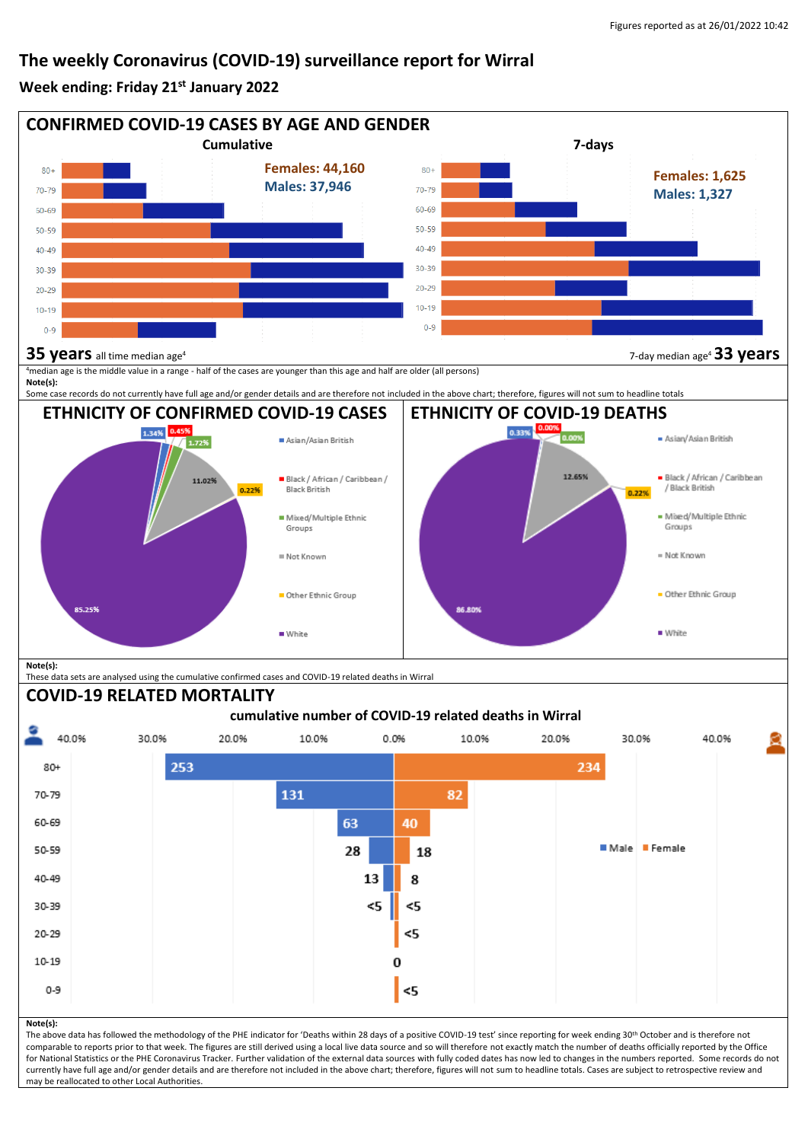## **The weekly Coronavirus (COVID-19) surveillance report for Wirral**

### **Week ending: Friday 21st January 2022**



may be reallocated to other Local Authorities.